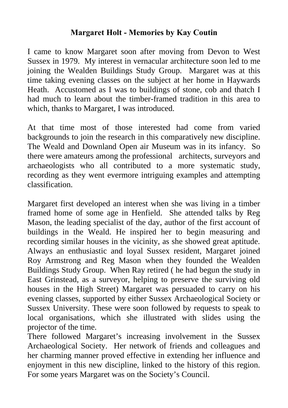## **Margaret Holt - Memories by Kay Coutin**

I came to know Margaret soon after moving from Devon to West Sussex in 1979. My interest in vernacular architecture soon led to me joining the Wealden Buildings Study Group. Margaret was at this time taking evening classes on the subject at her home in Haywards Heath. Accustomed as I was to buildings of stone, cob and thatch I had much to learn about the timber-framed tradition in this area to which, thanks to Margaret, I was introduced.

At that time most of those interested had come from varied backgrounds to join the research in this comparatively new discipline. The Weald and Downland Open air Museum was in its infancy. So there were amateurs among the professional architects, surveyors and archaeologists who all contributed to a more systematic study, recording as they went evermore intriguing examples and attempting classification.

Margaret first developed an interest when she was living in a timber framed home of some age in Henfield. She attended talks by Reg Mason, the leading specialist of the day, author of the first account of buildings in the Weald. He inspired her to begin measuring and recording similar houses in the vicinity, as she showed great aptitude. Always an enthusiastic and loyal Sussex resident, Margaret joined Roy Armstrong and Reg Mason when they founded the Wealden Buildings Study Group. When Ray retired ( he had begun the study in East Grinstead, as a surveyor, helping to preserve the surviving old houses in the High Street) Margaret was persuaded to carry on his evening classes, supported by either Sussex Archaeological Society or Sussex University. These were soon followed by requests to speak to local organisations, which she illustrated with slides using the projector of the time.

There followed Margaret's increasing involvement in the Sussex Archaeological Society. Her network of friends and colleagues and her charming manner proved effective in extending her influence and enjoyment in this new discipline, linked to the history of this region. For some years Margaret was on the Society's Council.